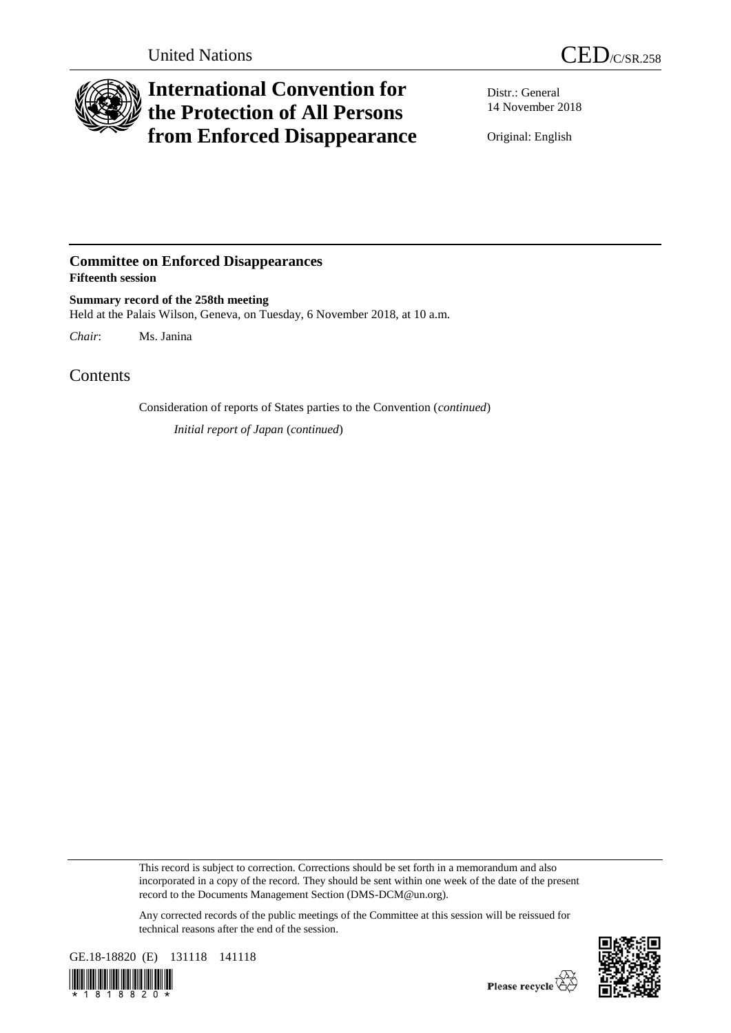

## **International Convention for the Protection of All Persons from Enforced Disappearance**

Distr.: General 14 November 2018

Original: English

## **Committee on Enforced Disappearances Fifteenth session**

**Summary record of the 258th meeting** Held at the Palais Wilson, Geneva, on Tuesday, 6 November 2018, at 10 a.m.

*Chair*: Ms. Janina

## **Contents**

Consideration of reports of States parties to the Convention (*continued*)

*Initial report of Japan* (*continued*)

This record is subject to correction. Corrections should be set forth in a memorandum and also incorporated in a copy of the record. They should be sent within one week of the date of the present record to the Documents Management Section (DMS-DCM@un.org).

Any corrected records of the public meetings of the Committee at this session will be reissued for technical reasons after the end of the session.



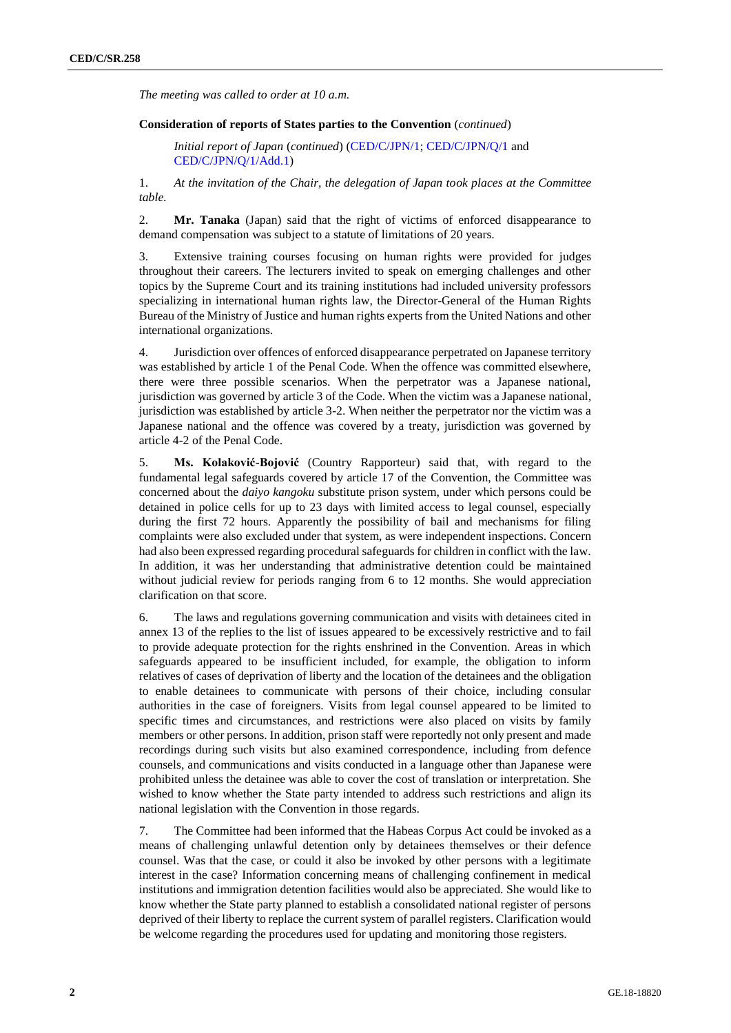*The meeting was called to order at 10 a.m.*

## **Consideration of reports of States parties to the Convention** (*continued*)

*Initial report of Japan* (*continued*) [\(CED/C/JPN/1;](http://undocs.org/en/CED/C/JPN/1) [CED/C/JPN/Q/1](http://undocs.org/en/CED/C/JPN/Q/1) and [CED/C/JPN/Q/1/](http://undocs.org/en/CED/C/JPN/Q/1)[Add.1\)](http://undocs.org/en/CED/C/JPN/Q/1/Add.1)

1. *At the invitation of the Chair, the delegation of Japan took places at the Committee table.*

2. **Mr. Tanaka** (Japan) said that the right of victims of enforced disappearance to demand compensation was subject to a statute of limitations of 20 years.

3. Extensive training courses focusing on human rights were provided for judges throughout their careers. The lecturers invited to speak on emerging challenges and other topics by the Supreme Court and its training institutions had included university professors specializing in international human rights law, the Director-General of the Human Rights Bureau of the Ministry of Justice and human rights experts from the United Nations and other international organizations.

4. Jurisdiction over offences of enforced disappearance perpetrated on Japanese territory was established by article 1 of the Penal Code. When the offence was committed elsewhere, there were three possible scenarios. When the perpetrator was a Japanese national, jurisdiction was governed by article 3 of the Code. When the victim was a Japanese national, jurisdiction was established by article 3-2. When neither the perpetrator nor the victim was a Japanese national and the offence was covered by a treaty, jurisdiction was governed by article 4-2 of the Penal Code.

5. **Ms. Kolaković-Bojović** (Country Rapporteur) said that, with regard to the fundamental legal safeguards covered by article 17 of the Convention, the Committee was concerned about the *daiyo kangoku* substitute prison system, under which persons could be detained in police cells for up to 23 days with limited access to legal counsel, especially during the first 72 hours. Apparently the possibility of bail and mechanisms for filing complaints were also excluded under that system, as were independent inspections. Concern had also been expressed regarding procedural safeguards for children in conflict with the law. In addition, it was her understanding that administrative detention could be maintained without judicial review for periods ranging from 6 to 12 months. She would appreciation clarification on that score.

6. The laws and regulations governing communication and visits with detainees cited in annex 13 of the replies to the list of issues appeared to be excessively restrictive and to fail to provide adequate protection for the rights enshrined in the Convention. Areas in which safeguards appeared to be insufficient included, for example, the obligation to inform relatives of cases of deprivation of liberty and the location of the detainees and the obligation to enable detainees to communicate with persons of their choice, including consular authorities in the case of foreigners. Visits from legal counsel appeared to be limited to specific times and circumstances, and restrictions were also placed on visits by family members or other persons. In addition, prison staff were reportedly not only present and made recordings during such visits but also examined correspondence, including from defence counsels, and communications and visits conducted in a language other than Japanese were prohibited unless the detainee was able to cover the cost of translation or interpretation. She wished to know whether the State party intended to address such restrictions and align its national legislation with the Convention in those regards.

7. The Committee had been informed that the Habeas Corpus Act could be invoked as a means of challenging unlawful detention only by detainees themselves or their defence counsel. Was that the case, or could it also be invoked by other persons with a legitimate interest in the case? Information concerning means of challenging confinement in medical institutions and immigration detention facilities would also be appreciated. She would like to know whether the State party planned to establish a consolidated national register of persons deprived of their liberty to replace the current system of parallel registers. Clarification would be welcome regarding the procedures used for updating and monitoring those registers.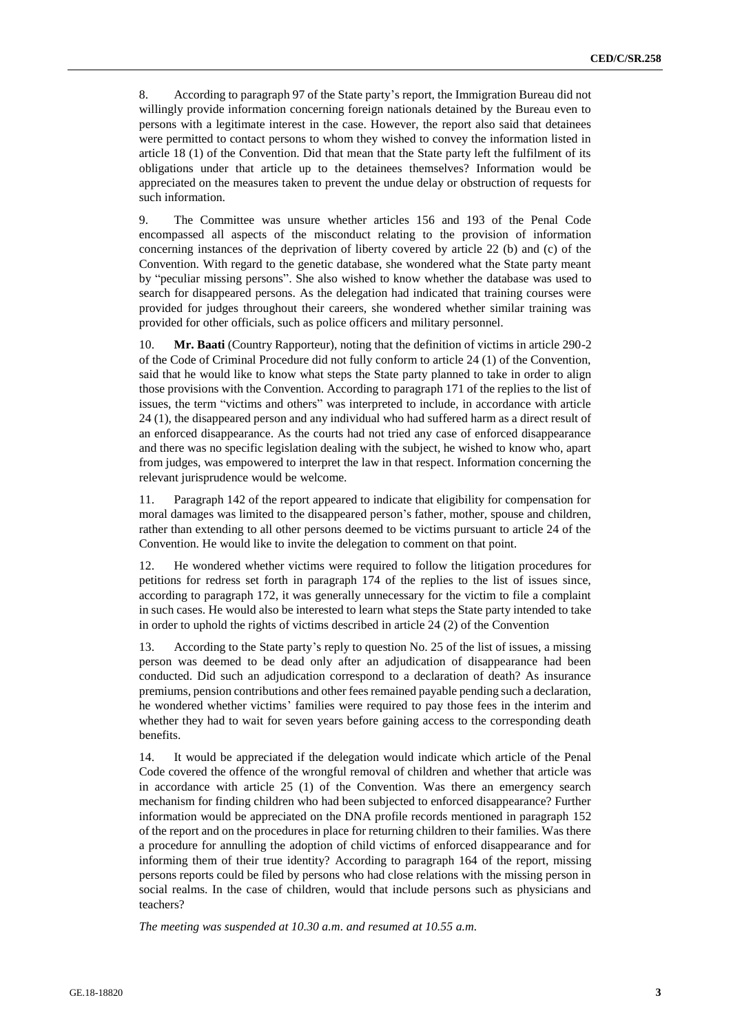8. According to paragraph 97 of the State party's report, the Immigration Bureau did not willingly provide information concerning foreign nationals detained by the Bureau even to persons with a legitimate interest in the case. However, the report also said that detainees were permitted to contact persons to whom they wished to convey the information listed in article 18 (1) of the Convention. Did that mean that the State party left the fulfilment of its obligations under that article up to the detainees themselves? Information would be appreciated on the measures taken to prevent the undue delay or obstruction of requests for such information.

9. The Committee was unsure whether articles 156 and 193 of the Penal Code encompassed all aspects of the misconduct relating to the provision of information concerning instances of the deprivation of liberty covered by article 22 (b) and (c) of the Convention. With regard to the genetic database, she wondered what the State party meant by "peculiar missing persons". She also wished to know whether the database was used to search for disappeared persons. As the delegation had indicated that training courses were provided for judges throughout their careers, she wondered whether similar training was provided for other officials, such as police officers and military personnel.

10. **Mr. Baati** (Country Rapporteur), noting that the definition of victims in article 290-2 of the Code of Criminal Procedure did not fully conform to article 24 (1) of the Convention, said that he would like to know what steps the State party planned to take in order to align those provisions with the Convention. According to paragraph 171 of the replies to the list of issues, the term "victims and others" was interpreted to include, in accordance with article 24 (1), the disappeared person and any individual who had suffered harm as a direct result of an enforced disappearance. As the courts had not tried any case of enforced disappearance and there was no specific legislation dealing with the subject, he wished to know who, apart from judges, was empowered to interpret the law in that respect. Information concerning the relevant jurisprudence would be welcome.

11. Paragraph 142 of the report appeared to indicate that eligibility for compensation for moral damages was limited to the disappeared person's father, mother, spouse and children, rather than extending to all other persons deemed to be victims pursuant to article 24 of the Convention. He would like to invite the delegation to comment on that point.

12. He wondered whether victims were required to follow the litigation procedures for petitions for redress set forth in paragraph 174 of the replies to the list of issues since, according to paragraph 172, it was generally unnecessary for the victim to file a complaint in such cases. He would also be interested to learn what steps the State party intended to take in order to uphold the rights of victims described in article 24 (2) of the Convention

13. According to the State party's reply to question No. 25 of the list of issues, a missing person was deemed to be dead only after an adjudication of disappearance had been conducted. Did such an adjudication correspond to a declaration of death? As insurance premiums, pension contributions and other fees remained payable pending such a declaration, he wondered whether victims' families were required to pay those fees in the interim and whether they had to wait for seven years before gaining access to the corresponding death benefits.

14. It would be appreciated if the delegation would indicate which article of the Penal Code covered the offence of the wrongful removal of children and whether that article was in accordance with article 25 (1) of the Convention. Was there an emergency search mechanism for finding children who had been subjected to enforced disappearance? Further information would be appreciated on the DNA profile records mentioned in paragraph 152 of the report and on the procedures in place for returning children to their families. Was there a procedure for annulling the adoption of child victims of enforced disappearance and for informing them of their true identity? According to paragraph 164 of the report, missing persons reports could be filed by persons who had close relations with the missing person in social realms. In the case of children, would that include persons such as physicians and teachers?

*The meeting was suspended at 10.30 a.m. and resumed at 10.55 a.m.*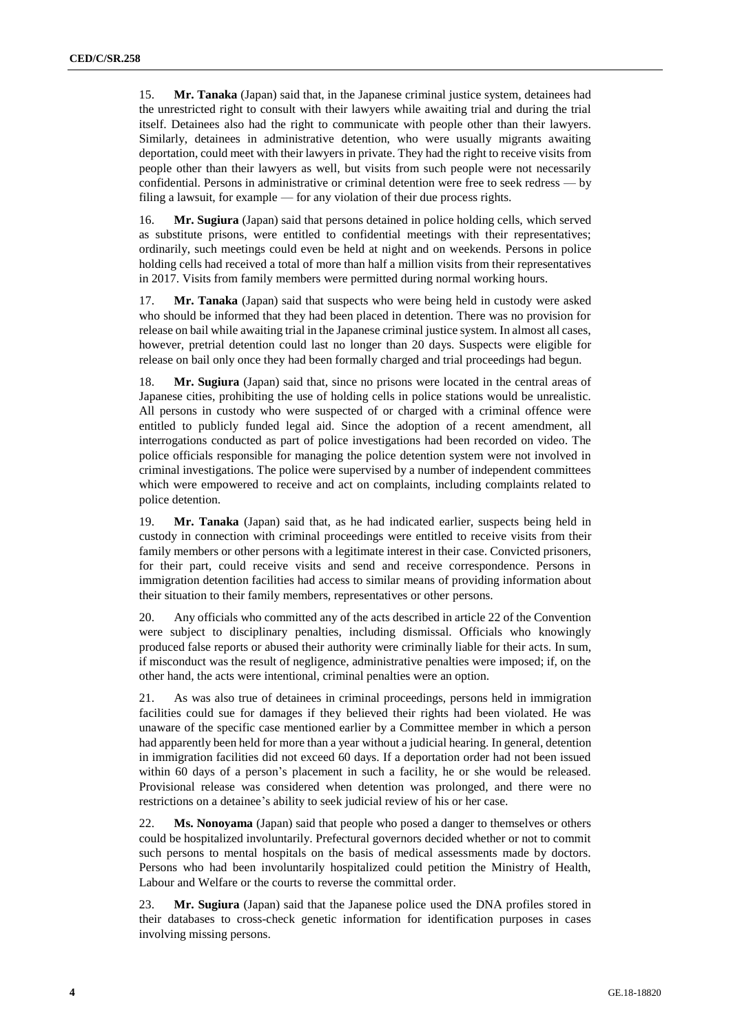15. **Mr. Tanaka** (Japan) said that, in the Japanese criminal justice system, detainees had the unrestricted right to consult with their lawyers while awaiting trial and during the trial itself. Detainees also had the right to communicate with people other than their lawyers. Similarly, detainees in administrative detention, who were usually migrants awaiting deportation, could meet with their lawyers in private. They had the right to receive visits from people other than their lawyers as well, but visits from such people were not necessarily confidential. Persons in administrative or criminal detention were free to seek redress — by filing a lawsuit, for example — for any violation of their due process rights.

16. **Mr. Sugiura** (Japan) said that persons detained in police holding cells, which served as substitute prisons, were entitled to confidential meetings with their representatives; ordinarily, such meetings could even be held at night and on weekends. Persons in police holding cells had received a total of more than half a million visits from their representatives in 2017. Visits from family members were permitted during normal working hours.

17. **Mr. Tanaka** (Japan) said that suspects who were being held in custody were asked who should be informed that they had been placed in detention. There was no provision for release on bail while awaiting trial in the Japanese criminal justice system. In almost all cases, however, pretrial detention could last no longer than 20 days. Suspects were eligible for release on bail only once they had been formally charged and trial proceedings had begun.

18. **Mr. Sugiura** (Japan) said that, since no prisons were located in the central areas of Japanese cities, prohibiting the use of holding cells in police stations would be unrealistic. All persons in custody who were suspected of or charged with a criminal offence were entitled to publicly funded legal aid. Since the adoption of a recent amendment, all interrogations conducted as part of police investigations had been recorded on video. The police officials responsible for managing the police detention system were not involved in criminal investigations. The police were supervised by a number of independent committees which were empowered to receive and act on complaints, including complaints related to police detention.

19. **Mr. Tanaka** (Japan) said that, as he had indicated earlier, suspects being held in custody in connection with criminal proceedings were entitled to receive visits from their family members or other persons with a legitimate interest in their case. Convicted prisoners, for their part, could receive visits and send and receive correspondence. Persons in immigration detention facilities had access to similar means of providing information about their situation to their family members, representatives or other persons.

20. Any officials who committed any of the acts described in article 22 of the Convention were subject to disciplinary penalties, including dismissal. Officials who knowingly produced false reports or abused their authority were criminally liable for their acts. In sum, if misconduct was the result of negligence, administrative penalties were imposed; if, on the other hand, the acts were intentional, criminal penalties were an option.

21. As was also true of detainees in criminal proceedings, persons held in immigration facilities could sue for damages if they believed their rights had been violated. He was unaware of the specific case mentioned earlier by a Committee member in which a person had apparently been held for more than a year without a judicial hearing. In general, detention in immigration facilities did not exceed 60 days. If a deportation order had not been issued within 60 days of a person's placement in such a facility, he or she would be released. Provisional release was considered when detention was prolonged, and there were no restrictions on a detainee's ability to seek judicial review of his or her case.

22. **Ms. Nonoyama** (Japan) said that people who posed a danger to themselves or others could be hospitalized involuntarily. Prefectural governors decided whether or not to commit such persons to mental hospitals on the basis of medical assessments made by doctors. Persons who had been involuntarily hospitalized could petition the Ministry of Health, Labour and Welfare or the courts to reverse the committal order.

23. **Mr. Sugiura** (Japan) said that the Japanese police used the DNA profiles stored in their databases to cross-check genetic information for identification purposes in cases involving missing persons.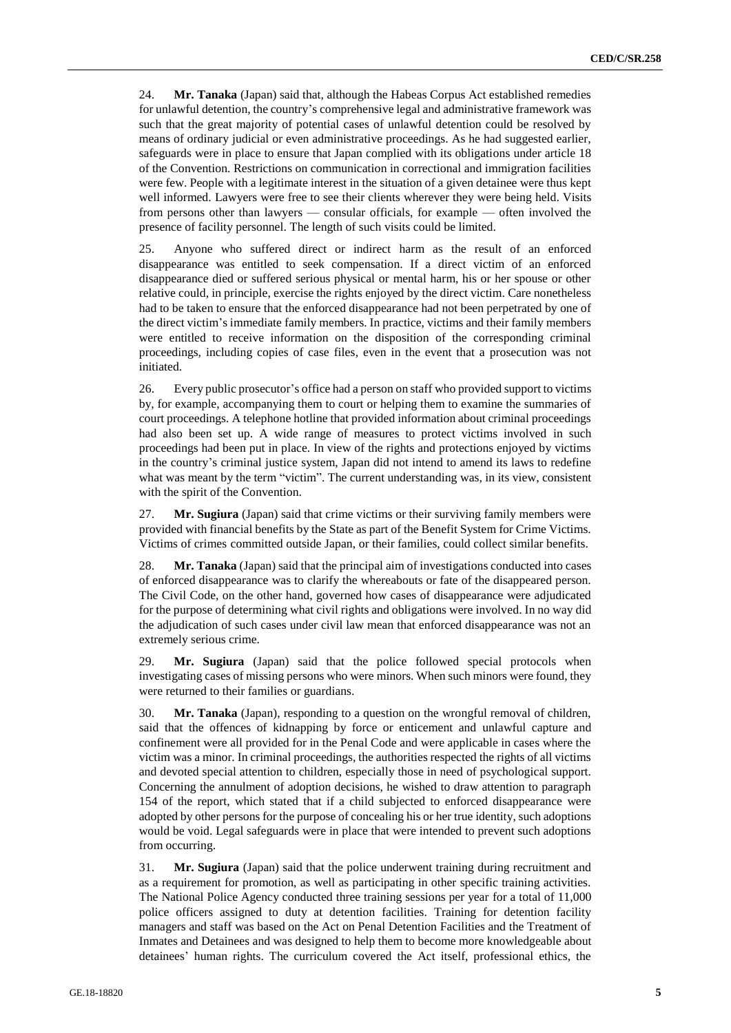24. **Mr. Tanaka** (Japan) said that, although the Habeas Corpus Act established remedies for unlawful detention, the country's comprehensive legal and administrative framework was such that the great majority of potential cases of unlawful detention could be resolved by means of ordinary judicial or even administrative proceedings. As he had suggested earlier, safeguards were in place to ensure that Japan complied with its obligations under article 18 of the Convention. Restrictions on communication in correctional and immigration facilities were few. People with a legitimate interest in the situation of a given detainee were thus kept well informed. Lawyers were free to see their clients wherever they were being held. Visits from persons other than lawyers — consular officials, for example — often involved the presence of facility personnel. The length of such visits could be limited.

25. Anyone who suffered direct or indirect harm as the result of an enforced disappearance was entitled to seek compensation. If a direct victim of an enforced disappearance died or suffered serious physical or mental harm, his or her spouse or other relative could, in principle, exercise the rights enjoyed by the direct victim. Care nonetheless had to be taken to ensure that the enforced disappearance had not been perpetrated by one of the direct victim's immediate family members. In practice, victims and their family members were entitled to receive information on the disposition of the corresponding criminal proceedings, including copies of case files, even in the event that a prosecution was not initiated.

26. Every public prosecutor's office had a person on staff who provided support to victims by, for example, accompanying them to court or helping them to examine the summaries of court proceedings. A telephone hotline that provided information about criminal proceedings had also been set up. A wide range of measures to protect victims involved in such proceedings had been put in place. In view of the rights and protections enjoyed by victims in the country's criminal justice system, Japan did not intend to amend its laws to redefine what was meant by the term "victim". The current understanding was, in its view, consistent with the spirit of the Convention.

27. **Mr. Sugiura** (Japan) said that crime victims or their surviving family members were provided with financial benefits by the State as part of the Benefit System for Crime Victims. Victims of crimes committed outside Japan, or their families, could collect similar benefits.

28. **Mr. Tanaka** (Japan) said that the principal aim of investigations conducted into cases of enforced disappearance was to clarify the whereabouts or fate of the disappeared person. The Civil Code, on the other hand, governed how cases of disappearance were adjudicated for the purpose of determining what civil rights and obligations were involved. In no way did the adjudication of such cases under civil law mean that enforced disappearance was not an extremely serious crime.

29. **Mr. Sugiura** (Japan) said that the police followed special protocols when investigating cases of missing persons who were minors. When such minors were found, they were returned to their families or guardians.

30. **Mr. Tanaka** (Japan), responding to a question on the wrongful removal of children, said that the offences of kidnapping by force or enticement and unlawful capture and confinement were all provided for in the Penal Code and were applicable in cases where the victim was a minor. In criminal proceedings, the authorities respected the rights of all victims and devoted special attention to children, especially those in need of psychological support. Concerning the annulment of adoption decisions, he wished to draw attention to paragraph 154 of the report, which stated that if a child subjected to enforced disappearance were adopted by other persons for the purpose of concealing his or her true identity, such adoptions would be void. Legal safeguards were in place that were intended to prevent such adoptions from occurring.

31. **Mr. Sugiura** (Japan) said that the police underwent training during recruitment and as a requirement for promotion, as well as participating in other specific training activities. The National Police Agency conducted three training sessions per year for a total of 11,000 police officers assigned to duty at detention facilities. Training for detention facility managers and staff was based on the Act on Penal Detention Facilities and the Treatment of Inmates and Detainees and was designed to help them to become more knowledgeable about detainees' human rights. The curriculum covered the Act itself, professional ethics, the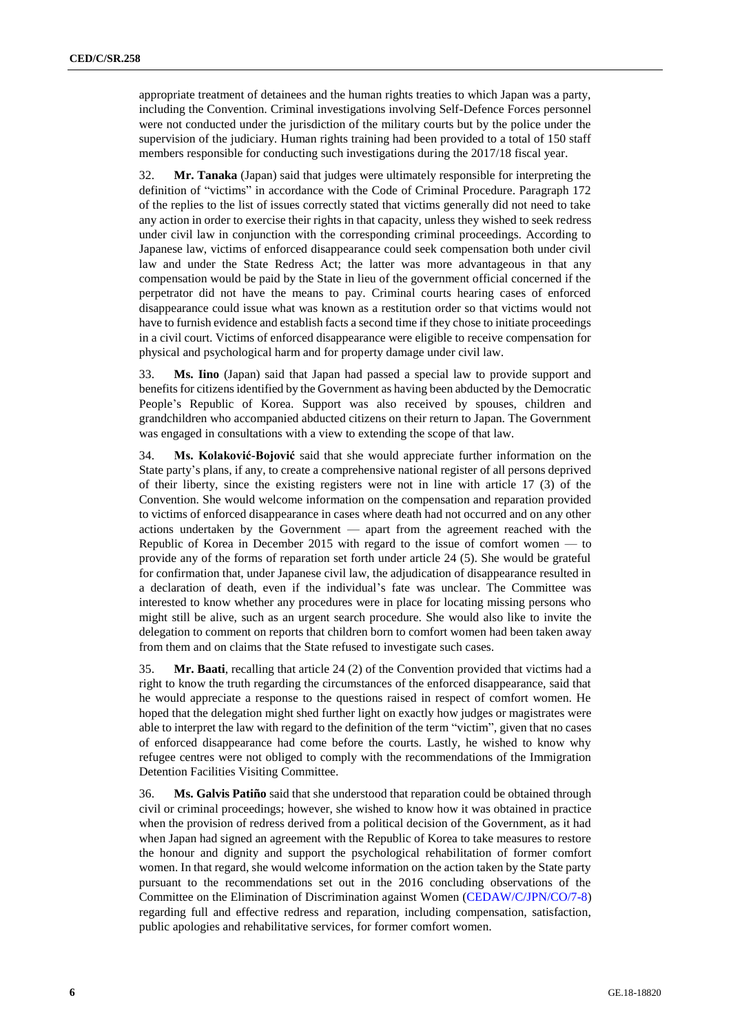appropriate treatment of detainees and the human rights treaties to which Japan was a party, including the Convention. Criminal investigations involving Self-Defence Forces personnel were not conducted under the jurisdiction of the military courts but by the police under the supervision of the judiciary. Human rights training had been provided to a total of 150 staff members responsible for conducting such investigations during the 2017/18 fiscal year.

32. **Mr. Tanaka** (Japan) said that judges were ultimately responsible for interpreting the definition of "victims" in accordance with the Code of Criminal Procedure. Paragraph 172 of the replies to the list of issues correctly stated that victims generally did not need to take any action in order to exercise their rights in that capacity, unless they wished to seek redress under civil law in conjunction with the corresponding criminal proceedings. According to Japanese law, victims of enforced disappearance could seek compensation both under civil law and under the State Redress Act; the latter was more advantageous in that any compensation would be paid by the State in lieu of the government official concerned if the perpetrator did not have the means to pay. Criminal courts hearing cases of enforced disappearance could issue what was known as a restitution order so that victims would not have to furnish evidence and establish facts a second time if they chose to initiate proceedings in a civil court. Victims of enforced disappearance were eligible to receive compensation for physical and psychological harm and for property damage under civil law.

33. **Ms. Iino** (Japan) said that Japan had passed a special law to provide support and benefits for citizens identified by the Government as having been abducted by the Democratic People's Republic of Korea. Support was also received by spouses, children and grandchildren who accompanied abducted citizens on their return to Japan. The Government was engaged in consultations with a view to extending the scope of that law.

34. **Ms. Kolaković-Bojović** said that she would appreciate further information on the State party's plans, if any, to create a comprehensive national register of all persons deprived of their liberty, since the existing registers were not in line with article 17 (3) of the Convention. She would welcome information on the compensation and reparation provided to victims of enforced disappearance in cases where death had not occurred and on any other actions undertaken by the Government — apart from the agreement reached with the Republic of Korea in December 2015 with regard to the issue of comfort women — to provide any of the forms of reparation set forth under article 24 (5). She would be grateful for confirmation that, under Japanese civil law, the adjudication of disappearance resulted in a declaration of death, even if the individual's fate was unclear. The Committee was interested to know whether any procedures were in place for locating missing persons who might still be alive, such as an urgent search procedure. She would also like to invite the delegation to comment on reports that children born to comfort women had been taken away from them and on claims that the State refused to investigate such cases.

35. **Mr. Baati**, recalling that article 24 (2) of the Convention provided that victims had a right to know the truth regarding the circumstances of the enforced disappearance, said that he would appreciate a response to the questions raised in respect of comfort women. He hoped that the delegation might shed further light on exactly how judges or magistrates were able to interpret the law with regard to the definition of the term "victim", given that no cases of enforced disappearance had come before the courts. Lastly, he wished to know why refugee centres were not obliged to comply with the recommendations of the Immigration Detention Facilities Visiting Committee.

36. **Ms. Galvis Patiño** said that she understood that reparation could be obtained through civil or criminal proceedings; however, she wished to know how it was obtained in practice when the provision of redress derived from a political decision of the Government, as it had when Japan had signed an agreement with the Republic of Korea to take measures to restore the honour and dignity and support the psychological rehabilitation of former comfort women. In that regard, she would welcome information on the action taken by the State party pursuant to the recommendations set out in the 2016 concluding observations of the Committee on the Elimination of Discrimination against Women [\(CEDAW/C/JPN/CO/7-8\)](http://undocs.org/en/CEDAW/C/JPN/CO/7-8) regarding full and effective redress and reparation, including compensation, satisfaction, public apologies and rehabilitative services, for former comfort women.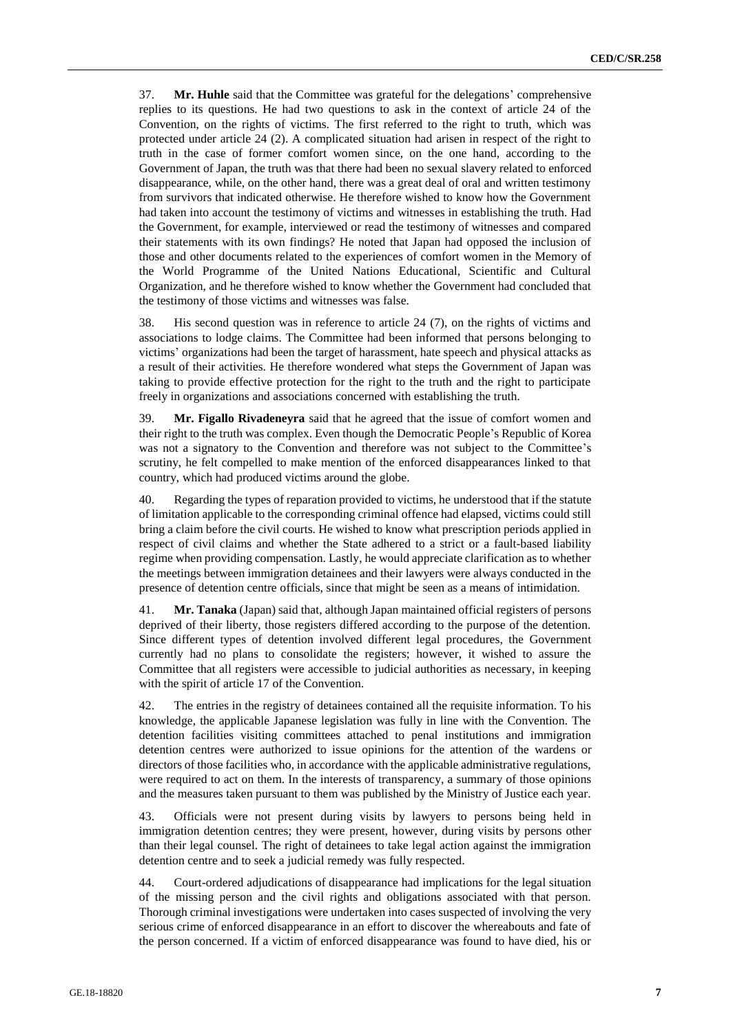37. **Mr. Huhle** said that the Committee was grateful for the delegations' comprehensive replies to its questions. He had two questions to ask in the context of article 24 of the Convention, on the rights of victims. The first referred to the right to truth, which was protected under article 24 (2). A complicated situation had arisen in respect of the right to truth in the case of former comfort women since, on the one hand, according to the Government of Japan, the truth was that there had been no sexual slavery related to enforced disappearance, while, on the other hand, there was a great deal of oral and written testimony from survivors that indicated otherwise. He therefore wished to know how the Government had taken into account the testimony of victims and witnesses in establishing the truth. Had the Government, for example, interviewed or read the testimony of witnesses and compared their statements with its own findings? He noted that Japan had opposed the inclusion of those and other documents related to the experiences of comfort women in the Memory of the World Programme of the United Nations Educational, Scientific and Cultural Organization, and he therefore wished to know whether the Government had concluded that the testimony of those victims and witnesses was false.

38. His second question was in reference to article 24 (7), on the rights of victims and associations to lodge claims. The Committee had been informed that persons belonging to victims' organizations had been the target of harassment, hate speech and physical attacks as a result of their activities. He therefore wondered what steps the Government of Japan was taking to provide effective protection for the right to the truth and the right to participate freely in organizations and associations concerned with establishing the truth.

39. **Mr. Figallo Rivadeneyra** said that he agreed that the issue of comfort women and their right to the truth was complex. Even though the Democratic People's Republic of Korea was not a signatory to the Convention and therefore was not subject to the Committee's scrutiny, he felt compelled to make mention of the enforced disappearances linked to that country, which had produced victims around the globe.

40. Regarding the types of reparation provided to victims, he understood that if the statute of limitation applicable to the corresponding criminal offence had elapsed, victims could still bring a claim before the civil courts. He wished to know what prescription periods applied in respect of civil claims and whether the State adhered to a strict or a fault-based liability regime when providing compensation. Lastly, he would appreciate clarification as to whether the meetings between immigration detainees and their lawyers were always conducted in the presence of detention centre officials, since that might be seen as a means of intimidation.

41. **Mr. Tanaka** (Japan) said that, although Japan maintained official registers of persons deprived of their liberty, those registers differed according to the purpose of the detention. Since different types of detention involved different legal procedures, the Government currently had no plans to consolidate the registers; however, it wished to assure the Committee that all registers were accessible to judicial authorities as necessary, in keeping with the spirit of article 17 of the Convention.

42. The entries in the registry of detainees contained all the requisite information. To his knowledge, the applicable Japanese legislation was fully in line with the Convention. The detention facilities visiting committees attached to penal institutions and immigration detention centres were authorized to issue opinions for the attention of the wardens or directors of those facilities who, in accordance with the applicable administrative regulations, were required to act on them. In the interests of transparency, a summary of those opinions and the measures taken pursuant to them was published by the Ministry of Justice each year.

43. Officials were not present during visits by lawyers to persons being held in immigration detention centres; they were present, however, during visits by persons other than their legal counsel. The right of detainees to take legal action against the immigration detention centre and to seek a judicial remedy was fully respected.

44. Court-ordered adjudications of disappearance had implications for the legal situation of the missing person and the civil rights and obligations associated with that person. Thorough criminal investigations were undertaken into cases suspected of involving the very serious crime of enforced disappearance in an effort to discover the whereabouts and fate of the person concerned. If a victim of enforced disappearance was found to have died, his or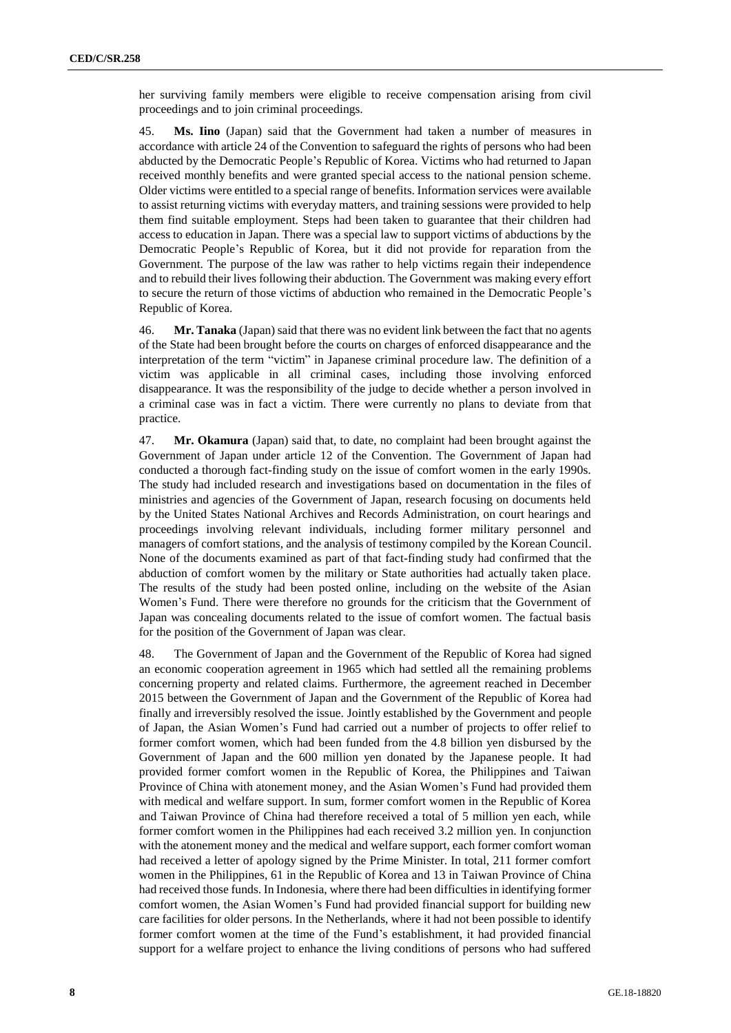her surviving family members were eligible to receive compensation arising from civil proceedings and to join criminal proceedings.

45. **Ms. Iino** (Japan) said that the Government had taken a number of measures in accordance with article 24 of the Convention to safeguard the rights of persons who had been abducted by the Democratic People's Republic of Korea. Victims who had returned to Japan received monthly benefits and were granted special access to the national pension scheme. Older victims were entitled to a special range of benefits. Information services were available to assist returning victims with everyday matters, and training sessions were provided to help them find suitable employment. Steps had been taken to guarantee that their children had access to education in Japan. There was a special law to support victims of abductions by the Democratic People's Republic of Korea, but it did not provide for reparation from the Government. The purpose of the law was rather to help victims regain their independence and to rebuild their lives following their abduction. The Government was making every effort to secure the return of those victims of abduction who remained in the Democratic People's Republic of Korea.

46. **Mr. Tanaka** (Japan) said that there was no evident link between the fact that no agents of the State had been brought before the courts on charges of enforced disappearance and the interpretation of the term "victim" in Japanese criminal procedure law. The definition of a victim was applicable in all criminal cases, including those involving enforced disappearance. It was the responsibility of the judge to decide whether a person involved in a criminal case was in fact a victim. There were currently no plans to deviate from that practice.

47. **Mr. Okamura** (Japan) said that, to date, no complaint had been brought against the Government of Japan under article 12 of the Convention. The Government of Japan had conducted a thorough fact-finding study on the issue of comfort women in the early 1990s. The study had included research and investigations based on documentation in the files of ministries and agencies of the Government of Japan, research focusing on documents held by the United States National Archives and Records Administration, on court hearings and proceedings involving relevant individuals, including former military personnel and managers of comfort stations, and the analysis of testimony compiled by the Korean Council. None of the documents examined as part of that fact-finding study had confirmed that the abduction of comfort women by the military or State authorities had actually taken place. The results of the study had been posted online, including on the website of the Asian Women's Fund. There were therefore no grounds for the criticism that the Government of Japan was concealing documents related to the issue of comfort women. The factual basis for the position of the Government of Japan was clear.

48. The Government of Japan and the Government of the Republic of Korea had signed an economic cooperation agreement in 1965 which had settled all the remaining problems concerning property and related claims. Furthermore, the agreement reached in December 2015 between the Government of Japan and the Government of the Republic of Korea had finally and irreversibly resolved the issue. Jointly established by the Government and people of Japan, the Asian Women's Fund had carried out a number of projects to offer relief to former comfort women, which had been funded from the 4.8 billion yen disbursed by the Government of Japan and the 600 million yen donated by the Japanese people. It had provided former comfort women in the Republic of Korea, the Philippines and Taiwan Province of China with atonement money, and the Asian Women's Fund had provided them with medical and welfare support. In sum, former comfort women in the Republic of Korea and Taiwan Province of China had therefore received a total of 5 million yen each, while former comfort women in the Philippines had each received 3.2 million yen. In conjunction with the atonement money and the medical and welfare support, each former comfort woman had received a letter of apology signed by the Prime Minister. In total, 211 former comfort women in the Philippines, 61 in the Republic of Korea and 13 in Taiwan Province of China had received those funds. In Indonesia, where there had been difficulties in identifying former comfort women, the Asian Women's Fund had provided financial support for building new care facilities for older persons. In the Netherlands, where it had not been possible to identify former comfort women at the time of the Fund's establishment, it had provided financial support for a welfare project to enhance the living conditions of persons who had suffered